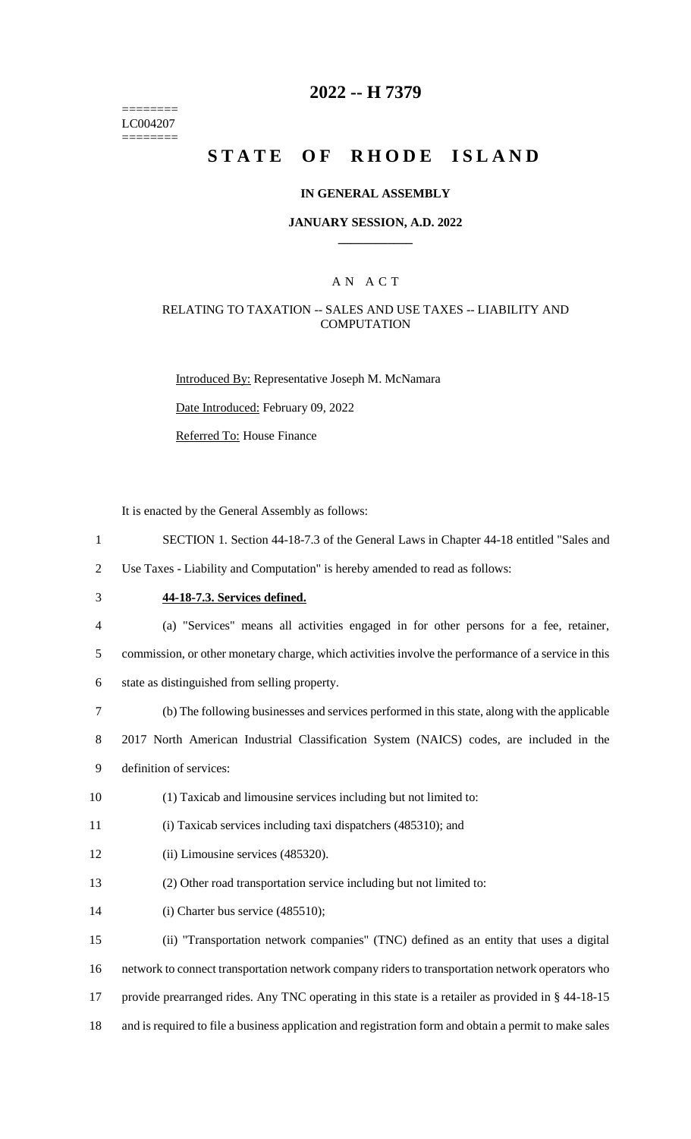======== LC004207 ========

# **2022 -- H 7379**

# **STATE OF RHODE ISLAND**

### **IN GENERAL ASSEMBLY**

#### **JANUARY SESSION, A.D. 2022 \_\_\_\_\_\_\_\_\_\_\_\_**

### A N A C T

### RELATING TO TAXATION -- SALES AND USE TAXES -- LIABILITY AND **COMPUTATION**

Introduced By: Representative Joseph M. McNamara

Date Introduced: February 09, 2022

Referred To: House Finance

It is enacted by the General Assembly as follows:

- 1 SECTION 1. Section 44-18-7.3 of the General Laws in Chapter 44-18 entitled "Sales and
- 2 Use Taxes Liability and Computation" is hereby amended to read as follows:
- 

# 3 **44-18-7.3. Services defined.**

- 4 (a) "Services" means all activities engaged in for other persons for a fee, retainer,
- 5 commission, or other monetary charge, which activities involve the performance of a service in this
- 6 state as distinguished from selling property.
- 7 (b) The following businesses and services performed in this state, along with the applicable

8 2017 North American Industrial Classification System (NAICS) codes, are included in the 9 definition of services:

- 10 (1) Taxicab and limousine services including but not limited to:
- 11 (i) Taxicab services including taxi dispatchers (485310); and
- 12 (ii) Limousine services (485320).
- 13 (2) Other road transportation service including but not limited to:
- 14 (i) Charter bus service (485510);

 (ii) "Transportation network companies" (TNC) defined as an entity that uses a digital network to connect transportation network company riders to transportation network operators who provide prearranged rides. Any TNC operating in this state is a retailer as provided in § 44-18-15 and is required to file a business application and registration form and obtain a permit to make sales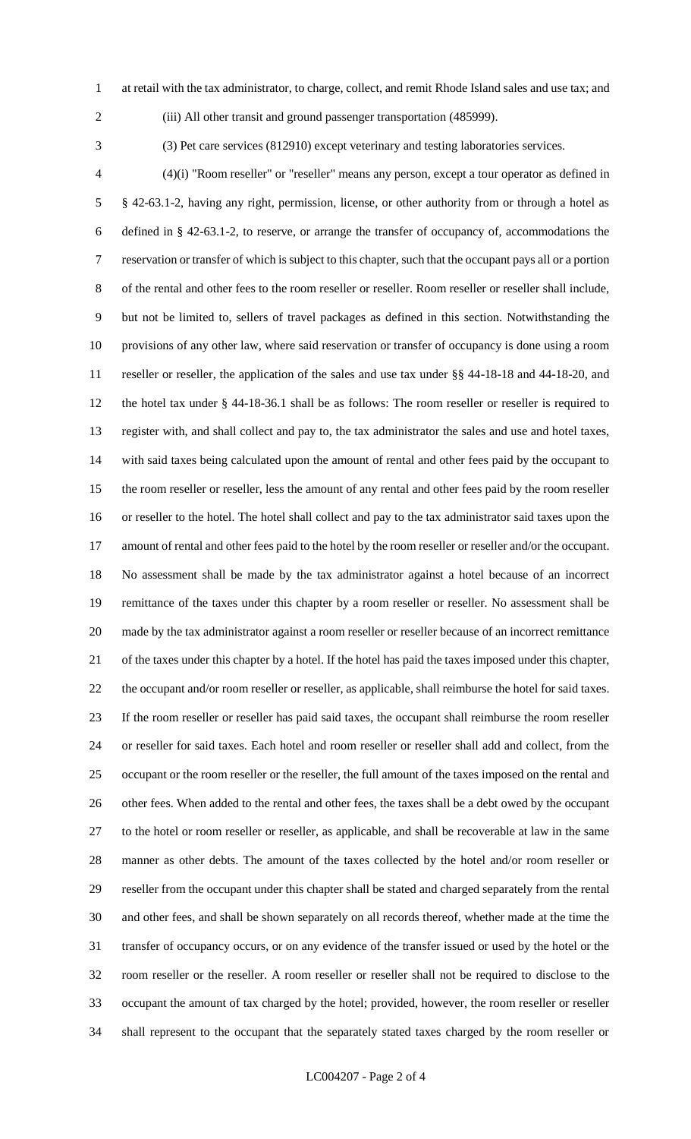- at retail with the tax administrator, to charge, collect, and remit Rhode Island sales and use tax; and
- 

(iii) All other transit and ground passenger transportation (485999).

(3) Pet care services (812910) except veterinary and testing laboratories services.

 (4)(i) "Room reseller" or "reseller" means any person, except a tour operator as defined in § 42-63.1-2, having any right, permission, license, or other authority from or through a hotel as defined in § 42-63.1-2, to reserve, or arrange the transfer of occupancy of, accommodations the reservation or transfer of which is subject to this chapter, such that the occupant pays all or a portion of the rental and other fees to the room reseller or reseller. Room reseller or reseller shall include, but not be limited to, sellers of travel packages as defined in this section. Notwithstanding the provisions of any other law, where said reservation or transfer of occupancy is done using a room reseller or reseller, the application of the sales and use tax under §§ 44-18-18 and 44-18-20, and the hotel tax under § 44-18-36.1 shall be as follows: The room reseller or reseller is required to register with, and shall collect and pay to, the tax administrator the sales and use and hotel taxes, with said taxes being calculated upon the amount of rental and other fees paid by the occupant to the room reseller or reseller, less the amount of any rental and other fees paid by the room reseller or reseller to the hotel. The hotel shall collect and pay to the tax administrator said taxes upon the amount of rental and other fees paid to the hotel by the room reseller or reseller and/or the occupant. No assessment shall be made by the tax administrator against a hotel because of an incorrect remittance of the taxes under this chapter by a room reseller or reseller. No assessment shall be made by the tax administrator against a room reseller or reseller because of an incorrect remittance of the taxes under this chapter by a hotel. If the hotel has paid the taxes imposed under this chapter, the occupant and/or room reseller or reseller, as applicable, shall reimburse the hotel for said taxes. If the room reseller or reseller has paid said taxes, the occupant shall reimburse the room reseller or reseller for said taxes. Each hotel and room reseller or reseller shall add and collect, from the occupant or the room reseller or the reseller, the full amount of the taxes imposed on the rental and other fees. When added to the rental and other fees, the taxes shall be a debt owed by the occupant to the hotel or room reseller or reseller, as applicable, and shall be recoverable at law in the same manner as other debts. The amount of the taxes collected by the hotel and/or room reseller or reseller from the occupant under this chapter shall be stated and charged separately from the rental and other fees, and shall be shown separately on all records thereof, whether made at the time the transfer of occupancy occurs, or on any evidence of the transfer issued or used by the hotel or the room reseller or the reseller. A room reseller or reseller shall not be required to disclose to the occupant the amount of tax charged by the hotel; provided, however, the room reseller or reseller shall represent to the occupant that the separately stated taxes charged by the room reseller or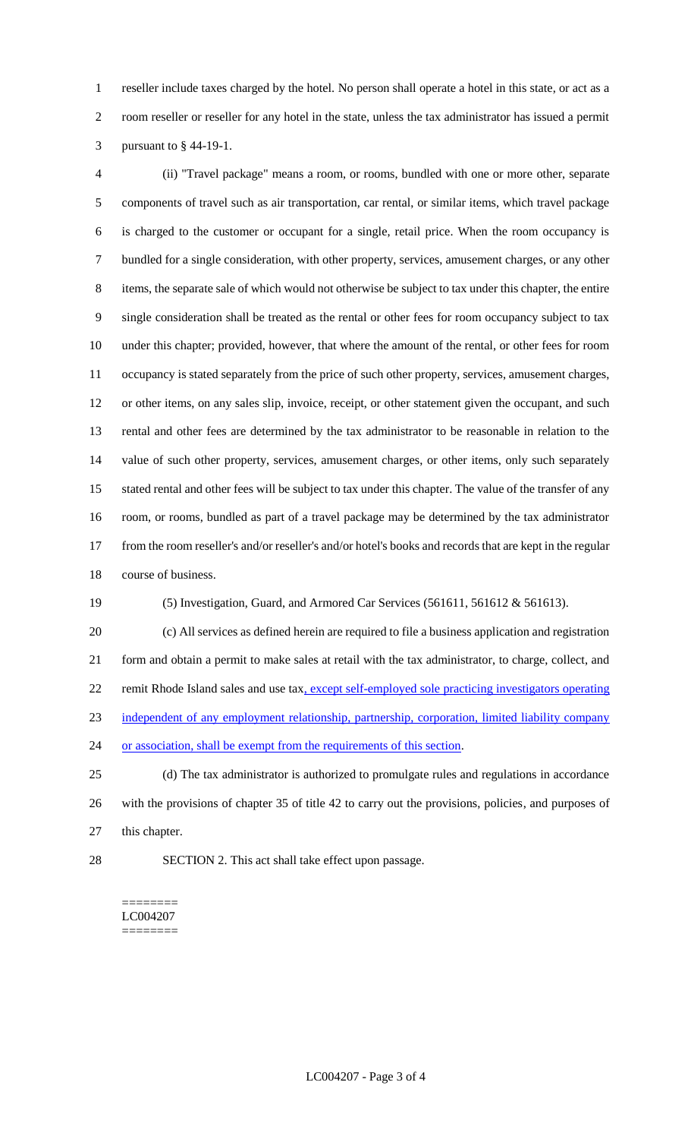reseller include taxes charged by the hotel. No person shall operate a hotel in this state, or act as a room reseller or reseller for any hotel in the state, unless the tax administrator has issued a permit pursuant to § 44-19-1.

 (ii) "Travel package" means a room, or rooms, bundled with one or more other, separate components of travel such as air transportation, car rental, or similar items, which travel package is charged to the customer or occupant for a single, retail price. When the room occupancy is bundled for a single consideration, with other property, services, amusement charges, or any other items, the separate sale of which would not otherwise be subject to tax under this chapter, the entire single consideration shall be treated as the rental or other fees for room occupancy subject to tax under this chapter; provided, however, that where the amount of the rental, or other fees for room occupancy is stated separately from the price of such other property, services, amusement charges, or other items, on any sales slip, invoice, receipt, or other statement given the occupant, and such rental and other fees are determined by the tax administrator to be reasonable in relation to the value of such other property, services, amusement charges, or other items, only such separately stated rental and other fees will be subject to tax under this chapter. The value of the transfer of any room, or rooms, bundled as part of a travel package may be determined by the tax administrator from the room reseller's and/or reseller's and/or hotel's books and records that are kept in the regular course of business.

(5) Investigation, Guard, and Armored Car Services (561611, 561612 & 561613).

 (c) All services as defined herein are required to file a business application and registration form and obtain a permit to make sales at retail with the tax administrator, to charge, collect, and 22 remit Rhode Island sales and use tax, except self-employed sole practicing investigators operating independent of any employment relationship, partnership, corporation, limited liability company or association, shall be exempt from the requirements of this section.

 (d) The tax administrator is authorized to promulgate rules and regulations in accordance with the provisions of chapter 35 of title 42 to carry out the provisions, policies, and purposes of this chapter.

SECTION 2. This act shall take effect upon passage.

======== LC004207 ========